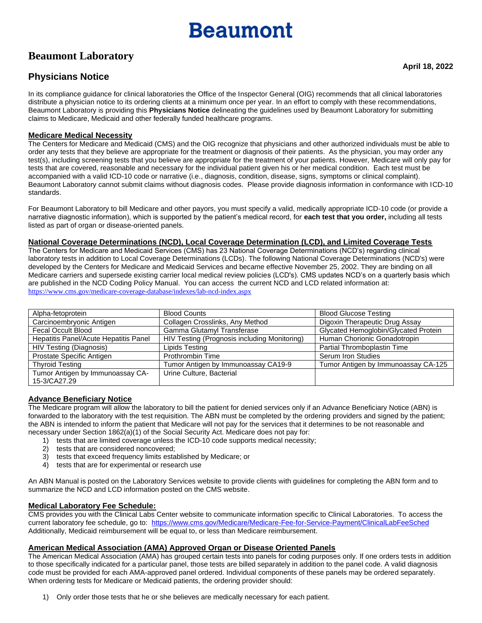# **Beaumont**

# **Beaumont Laboratory**

In its compliance guidance for clinical laboratories the Office of the Inspector General (OIG) recommends that all clinical laboratories distribute a physician notice to its ordering clients at a minimum once per year. In an effort to comply with these recommendations, Beaumont Laboratory is providing this **Physicians Notice** delineating the guidelines used by Beaumont Laboratory for submitting claims to Medicare, Medicaid and other federally funded healthcare programs.

#### **Medicare Medical Necessity**

The Centers for Medicare and Medicaid (CMS) and the OIG recognize that physicians and other authorized individuals must be able to order any tests that they believe are appropriate for the treatment or diagnosis of their patients. As the physician, you may order any test(s), including screening tests that you believe are appropriate for the treatment of your patients. However, Medicare will only pay for tests that are covered, reasonable and necessary for the individual patient given his or her medical condition. Each test must be accompanied with a valid ICD-10 code or narrative (i.e., diagnosis, condition, disease, signs, symptoms or clinical complaint). Beaumont Laboratory cannot submit claims without diagnosis codes. Please provide diagnosis information in conformance with ICD-10 standards.

For Beaumont Laboratory to bill Medicare and other payors, you must specify a valid, medically appropriate ICD-10 code (or provide a narrative diagnostic information), which is supported by the patient's medical record, for **each test that you order,** including all tests listed as part of organ or disease-oriented panels.

#### **National Coverage Determinations (NCD), Local Coverage Determination (LCD), and Limited Coverage Tests**

The Centers for Medicare and Medicaid Services (CMS) has 23 National Coverage Determinations (NCD's) regarding clinical laboratory tests in addition to Local Coverage Determinations (LCDs). The following National Coverage Determinations (NCD's) were developed by the Centers for Medicare and Medicaid Services and became effective November 25, 2002. They are binding on all Medicare carriers and supersede existing carrier local medical review policies (LCD's). CMS updates NCD's on a quarterly basis which are published in the NCD Coding Policy Manual. You can access the current NCD and LCD related information at: <https://www.cms.gov/medicare-coverage-database/indexes/lab-ncd-index.aspx>

| Alpha-fetoprotein                     | <b>Blood Counts</b>                          | <b>Blood Glucose Testing</b>         |
|---------------------------------------|----------------------------------------------|--------------------------------------|
| Carcinoembryonic Antigen              | Collagen Crosslinks, Any Method              | Digoxin Therapeutic Drug Assay       |
| Fecal Occult Blood                    | Gamma Glutamyl Transferase                   | Glycated Hemoglobin/Glycated Protein |
| Hepatitis Panel/Acute Hepatitis Panel | HIV Testing (Prognosis including Monitoring) | Human Chorionic Gonadotropin         |
| HIV Testing (Diagnosis)               | Lipids Testing                               | Partial Thromboplastin Time          |
| Prostate Specific Antigen             | Prothrombin Time                             | Serum Iron Studies                   |
| <b>Thyroid Testing</b>                | Tumor Antigen by Immunoassay CA19-9          | Tumor Antigen by Immunoassay CA-125  |
| Tumor Antigen by Immunoassay CA-      | Urine Culture, Bacterial                     |                                      |
| 15-3/CA27.29                          |                                              |                                      |

## **Advance Beneficiary Notice**

The Medicare program will allow the laboratory to bill the patient for denied services only if an Advance Beneficiary Notice (ABN) is forwarded to the laboratory with the test requisition. The ABN must be completed by the ordering providers and signed by the patient; the ABN is intended to inform the patient that Medicare will not pay for the services that it determines to be not reasonable and necessary under Section 1862(a)(1) of the Social Security Act. Medicare does not pay for:

- 1) tests that are limited coverage unless the ICD-10 code supports medical necessity;
- 2) tests that are considered noncovered;
- 3) tests that exceed frequency limits established by Medicare; or
- 4) tests that are for experimental or research use

An ABN Manual is posted on the Laboratory Services website to provide clients with guidelines for completing the ABN form and to summarize the NCD and LCD information posted on the CMS website.

#### **Medical Laboratory Fee Schedule:**

CMS provides you with the Clinical Labs Center website to communicate information specific to Clinical Laboratories. To access the current laboratory fee schedule, go to:<https://www.cms.gov/Medicare/Medicare-Fee-for-Service-Payment/ClinicalLabFeeSched> Additionally, Medicaid reimbursement will be equal to, or less than Medicare reimbursement.

## **American Medical Association (AMA) Approved Organ or Disease Oriented Panels**

The American Medical Association (AMA) has grouped certain tests into panels for coding purposes only. If one orders tests in addition to those specifically indicated for a particular panel, those tests are billed separately in addition to the panel code. A valid diagnosis code must be provided for each AMA-approved panel ordered. Individual components of these panels may be ordered separately. When ordering tests for Medicare or Medicaid patients, the ordering provider should:

1) Only order those tests that he or she believes are medically necessary for each patient.